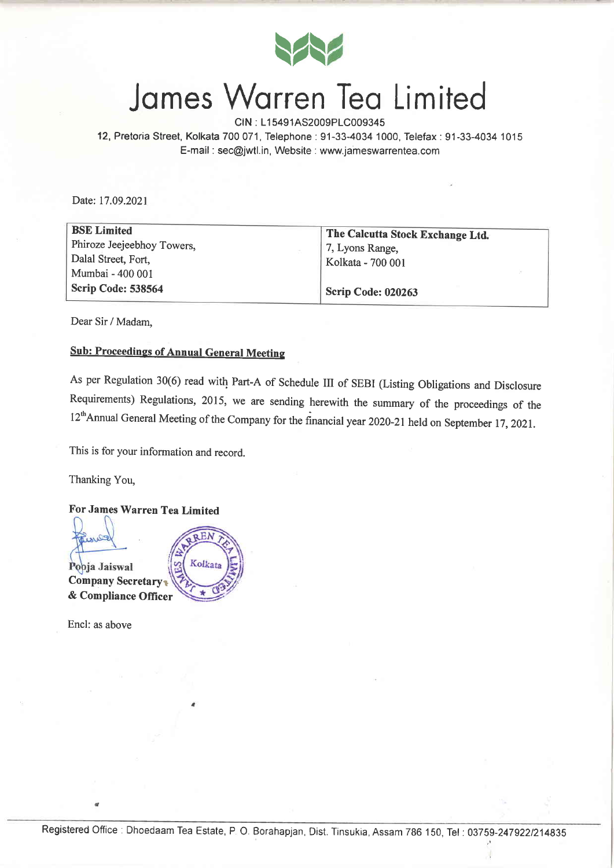

# Jomes Worren Teo Limited

CIN : L15491AS2009PLC009345

12, Pretoria Street, Kolkata 700071, Telephone:91-33-4034 1000, Telefax:91-33-4034 1015 E-mail : sec@jwtl.in, Website : www.jameswarrentea.com

Date:17.09.2021

| <b>BSE Limited</b>         | The Calcutta Stock Exchange Ltd. |
|----------------------------|----------------------------------|
| Phiroze Jeejeebhoy Towers, | 7, Lyons Range,                  |
| Dalal Street, Fort,        | Kolkata - 700 001                |
| Mumbai - 400 001           |                                  |
| Scrip Code: 538564         | Scrip Code: 020263               |

Dear Sir / Madam,

### **Sub: Proceedings of Annual General Meeting**

As per Regulation 30(6) read with Part-A of Schedule III of sEBI (Listing obligations and Disclosure Requirements) Regulations, 2015, we are sending herewith the summary of the proceedings of the 12<sup>th</sup>Annual General Meeting of the Company for the financial year 2020-21 held on September 17, 2021.

This is for your information and record.

Thanking You,

#### For James Warren Tea Limited



Encl: as above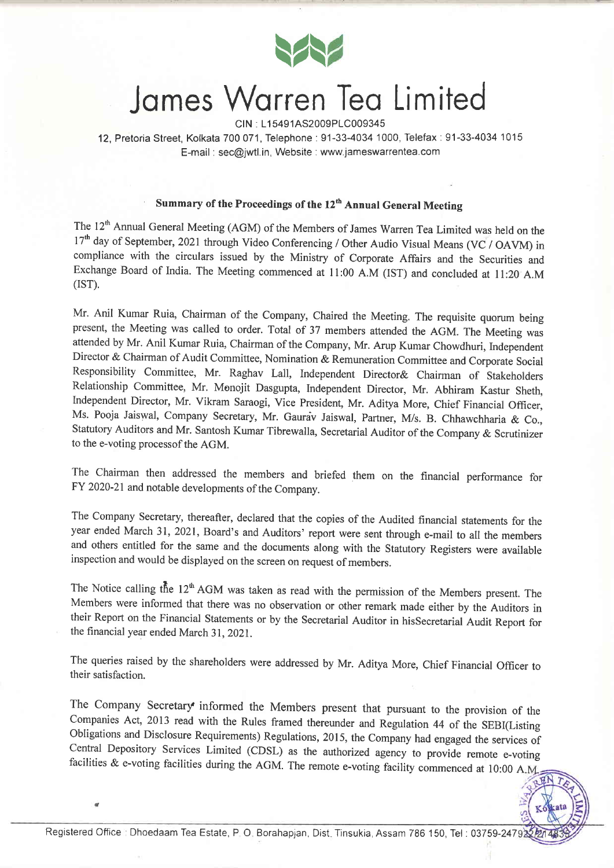

# James Warren Tea Limited

clN . L1 5491AS2009P1C009345

12, Pretoria Street, Kolkata 700071, Telephone:91-33-4034 1000, Telefax:91-33-4034 1015 E-mail : sec@jwtl.in, Website : www.jameswarrentea.com

### Summary of the Proceedings of the 12<sup>th</sup> Annual General Meeting

The 12<sup>th</sup> Annual General Meeting (AGM) of the Members of James Warren Tea Limited was held on the 17<sup>th</sup> day of September, 2021 through Video Conferencing / Other Audio Visual Means (VC / OAVM) in compliance with the circulars issued by the Ministry of Corporate Affairs and the Securities and Exchange Board of India. The Meeting commenced at l1:00 A.M (IST) and concluded at l1:20 A.M  $(IST).$ 

Mr. Anil Kumar Ruia, Chairman of the Company, Chaired the Meeting. The requisite quorum being present, the Meeting was called to order. Total of 37 members attended the AGM. The Meeting was attended by Mr. Anil Kumar Ruia, Chairman of the Company, Mr. Arup Kumar Chowdhuri, Independent Director & Chairman of Audit Committee, Nomination & Remuneration Committee and Corporate Social Responsibility Committee, Mr. Raghav Lall, Independent Director& Chairman of Stakeholders Relationship Committee, Mr. Monojit Dasgupta, Independent Director, Mr. Abhiram Kastur Sheth, Independent Director, Mr. Vikram Saraogi, Vice President, Mr. Aditya More, Chief Financial Officer, Ms. Pooja Jaiswal, Company Secretary, Mr. Gaura'v Jaiswal, Partner, M/s. B. Chhawchharia & Co., Statutory Auditors and Mr. Santosh Kumar Tibrewalla, Secretarial Auditor of the Company & Scrutinizer to the e-voting processof the AGM.

The Chairman then addressed the members and briefed them on the financial performance for FY 2020-21and notable developments of the Company.

The Company Secretary, thereafter, declared that the copies of the Audited financial statements for the year ended March 31, 2021, Board's and Auditors' report were sent through e-mail to all the members and others entitled for the same and the documents along with the Statutory Registers were available inspection and would be displayed on the screen on request of members.

The Notice calling the  $12<sup>th</sup> AGM$  was taken as read with the permission of the Members present. The Members were informed that there was no observation or other remark made either by the Auditors in their Report on the Financial Statements or by the Secretarial Auditor in hisSecretarial Audit Report for the financial year ended March 31, 2021.

The queries raised by the shareholders were addressed by Mr. Aditya More, Chief Financial Officer to their satisfaction.

The Company Secretary informed the Members present that pursuant to the provision of the Companies Act, 2013 read with the Rules framed thereunder and Regulation 44 of the SEBI(Listing Obligations and Disclosure Requirements) Regulations, 2015, the Company had engaged the services of Central Depository Services Limited (CDSL) as the authorized agency to provide remote e-voting facilities  $\&$  e-voting facilities during the AGM. The remote e-voting facility commenced at 10:00 A.M.